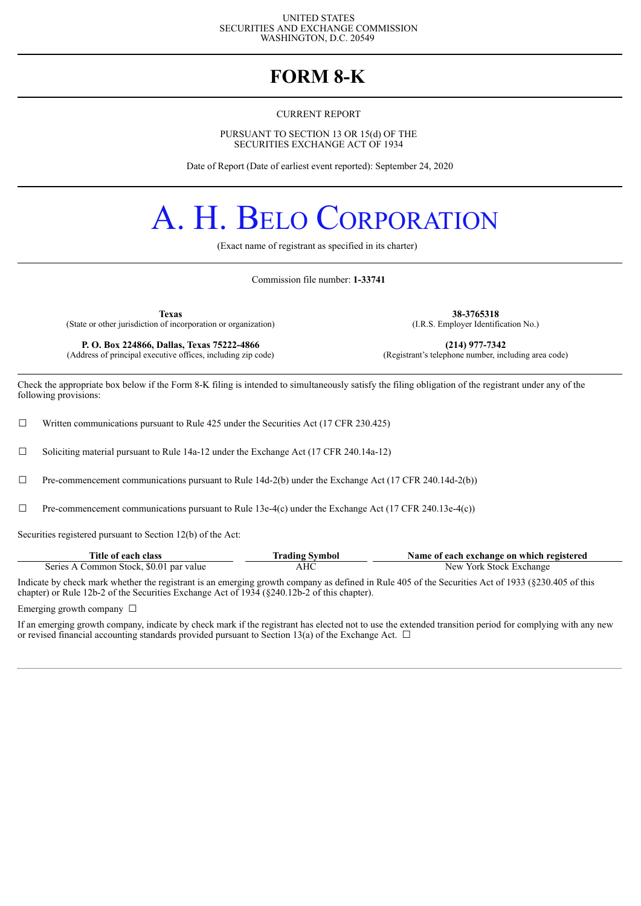#### UNITED STATES SECURITIES AND EXCHANGE COMMISSION WASHINGTON, D.C. 20549

### **FORM 8-K**

#### CURRENT REPORT

PURSUANT TO SECTION 13 OR 15(d) OF THE SECURITIES EXCHANGE ACT OF 1934

Date of Report (Date of earliest event reported): September 24, 2020

# A. H. BELO CORPORATION

(Exact name of registrant as specified in its charter)

Commission file number: **1-33741**

(State or other jurisdiction of incorporation or organization)

**P. O. Box 224866, Dallas, Texas 75222-4866 (214) 977-7342 (214) 977-7342 (214) 977-7342 (214) 977-7342 (214) 977-7342 (214) 977-7342 (214) 977-7342 (214) 10 (214) 10 (214) 10 (214** (Address of principal executive offices, including zip code)

**Texas 38-3765318**<br> **38-3765318** (I.R.S. Employer Identification No.)

Check the appropriate box below if the Form 8-K filing is intended to simultaneously satisfy the filing obligation of the registrant under any of the following provisions:

□ Written communications pursuant to Rule 425 under the Securities Act (17 CFR 230.425)

☐ Soliciting material pursuant to Rule 14a-12 under the Exchange Act (17 CFR 240.14a-12)

 $\Box$  Pre-commencement communications pursuant to Rule 14d-2(b) under the Exchange Act (17 CFR 240.14d-2(b))

 $\Box$  Pre-commencement communications pursuant to Rule 13e-4(c) under the Exchange Act (17 CFR 240.13e-4(c))

Securities registered pursuant to Section 12(b) of the Act:

| Title of each class                     | Trading Symbol | Name of each exchange on which registered |
|-----------------------------------------|----------------|-------------------------------------------|
| Series A Common Stock, \$0.01 par value | AHC            | New York Stock Exchange                   |

Indicate by check mark whether the registrant is an emerging growth company as defined in Rule 405 of the Securities Act of 1933 (§230.405 of this chapter) or Rule 12b-2 of the Securities Exchange Act of 1934 (§240.12b-2 of this chapter).

Emerging growth company  $\Box$ 

If an emerging growth company, indicate by check mark if the registrant has elected not to use the extended transition period for complying with any new or revised financial accounting standards provided pursuant to Section 13(a) of the Exchange Act.  $\Box$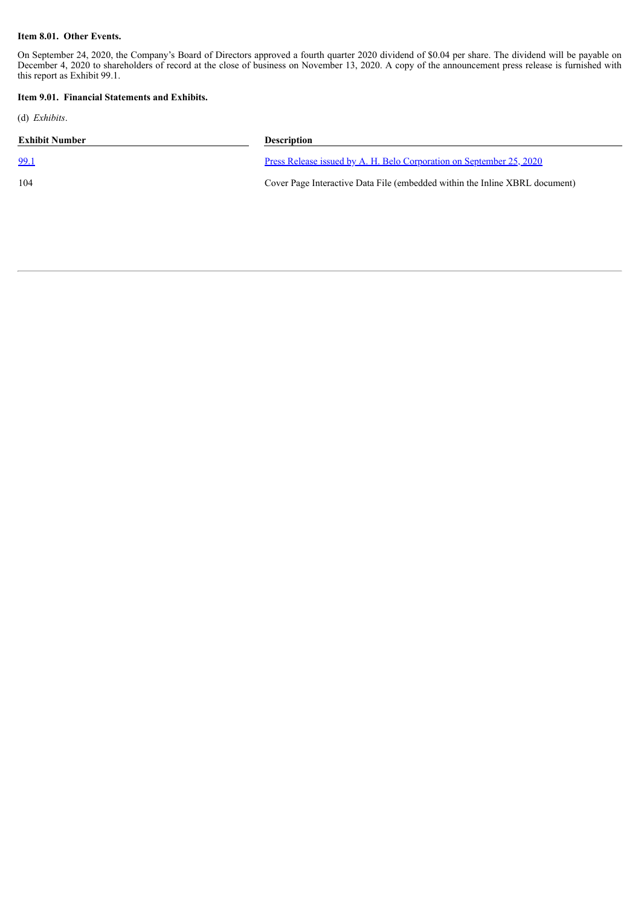#### **Item 8.01. Other Events.**

On September 24, 2020, the Company's Board of Directors approved a fourth quarter 2020 dividend of \$0.04 per share. The dividend will be payable on December 4, 2020 to shareholders of record at the close of business on November 13, 2020. A copy of the announcement press release is furnished with this report as Exhibit 99.1.

#### **Item 9.01. Financial Statements and Exhibits.**

(d) *Exhibits*.

| Exhibit Number | <b>Description</b>                                                          |
|----------------|-----------------------------------------------------------------------------|
| <u>99.1</u>    | <u>Press Release issued by A. H. Belo Corporation on September 25, 2020</u> |
| 104            | Cover Page Interactive Data File (embedded within the Inline XBRL document) |
|                |                                                                             |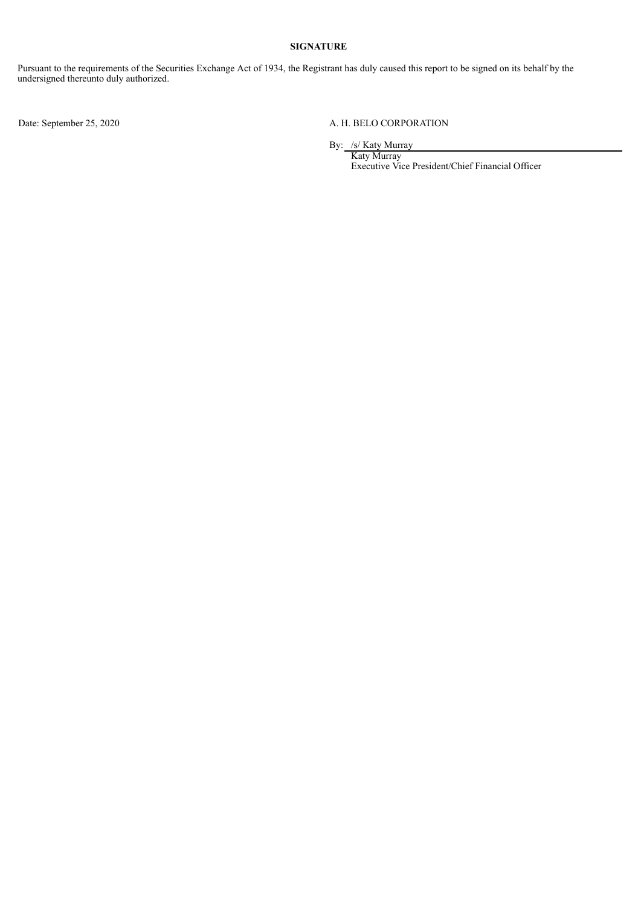#### **SIGNATURE**

Pursuant to the requirements of the Securities Exchange Act of 1934, the Registrant has duly caused this report to be signed on its behalf by the undersigned thereunto duly authorized.

#### Date: September 25, 2020 A. H. BELO CORPORATION

By: /s/ Katy Murray

Katy Murray Executive Vice President/Chief Financial Officer